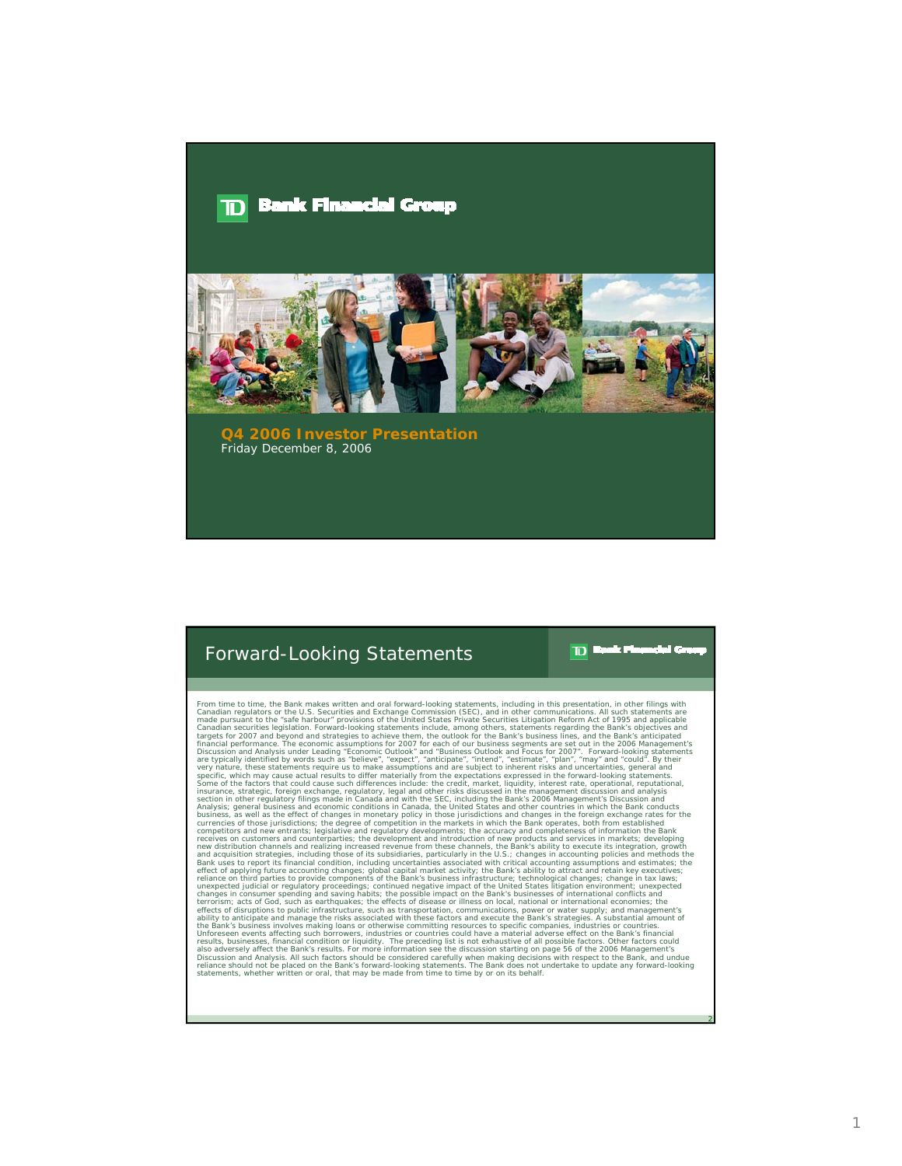## **Bank Financial Group** ותר



**Q4 2006 Investor Presentation** Friday December 8, 2006

## Forward-Looking Statements

 $\mathbf{m}$ ٦ī,

2

From time to time Bank makes written and oral forward-looking statements; including in this presentation, in other finings with<br>Frame-Instantant to the Bank makes written and Crain correlations (SEC), and in other communic Statements, when the statements of the considered carefully when making decisions with respect to the Bank, and undue<br>Tellance should not be placed on the Bank's forward-looking statements. The Bank does not undertake to u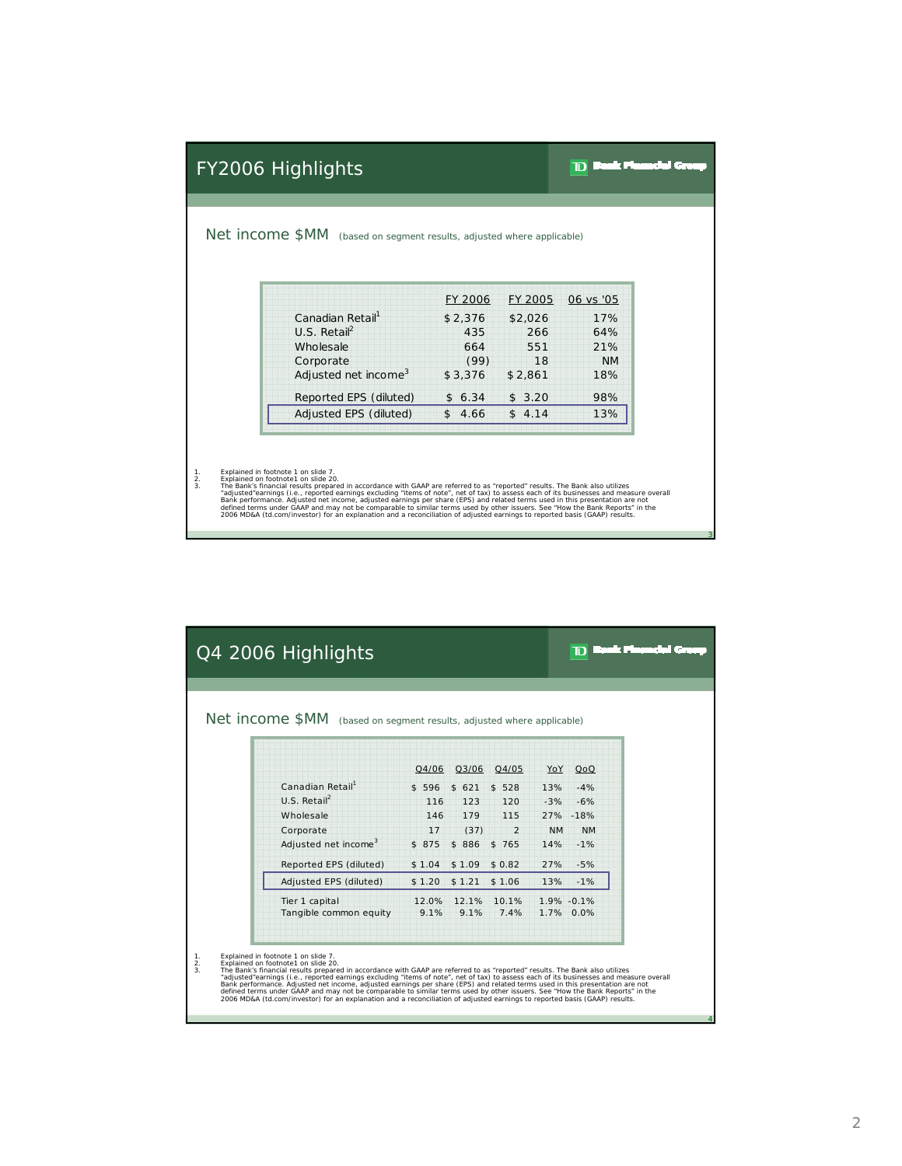| Net income \$MM (based on segment results, adjusted where applicable)                                                                                                                                     |                 |           |                  |
|-----------------------------------------------------------------------------------------------------------------------------------------------------------------------------------------------------------|-----------------|-----------|------------------|
|                                                                                                                                                                                                           |                 |           |                  |
|                                                                                                                                                                                                           | FY 2006         | FY 2005   | 06 vs '05        |
| Canadian Retail <sup>1</sup><br>$U.S.$ Retail <sup>2</sup>                                                                                                                                                | \$2,376         | \$2,026   | 17%              |
|                                                                                                                                                                                                           | 435             | 266       | 64%              |
| Wholesale                                                                                                                                                                                                 | 664             | 551<br>18 | 21%              |
| Corporate<br>Adjusted net income <sup>3</sup>                                                                                                                                                             | (99)<br>\$3,376 | \$2,861   | <b>NM</b><br>18% |
| Reported EPS (diluted)                                                                                                                                                                                    | \$6.34          | \$3.20    | 98%              |
| Adjusted EPS (diluted)                                                                                                                                                                                    | \$4.66          | \$4.14    | 13%              |
| Explained in footnote 1 on slide 7.<br>Explained on footnote1 on slide 20.<br>The Bank's financial results prepared in accordance with GAAP are referred to as "reported" results. The Bank also utilizes |                 |           |                  |

|                | Q4 2006 Highlights                                                                                                                                                                                                                                                                                                                                                                                                                                                                                                                                                                                                                                                                                                                                 |                                  |        |        |                |           | ומד             | المتوسط والانسوار |
|----------------|----------------------------------------------------------------------------------------------------------------------------------------------------------------------------------------------------------------------------------------------------------------------------------------------------------------------------------------------------------------------------------------------------------------------------------------------------------------------------------------------------------------------------------------------------------------------------------------------------------------------------------------------------------------------------------------------------------------------------------------------------|----------------------------------|--------|--------|----------------|-----------|-----------------|-------------------|
|                | Net income \$MM (based on segment results, adjusted where applicable)                                                                                                                                                                                                                                                                                                                                                                                                                                                                                                                                                                                                                                                                              |                                  |        |        |                |           |                 |                   |
|                |                                                                                                                                                                                                                                                                                                                                                                                                                                                                                                                                                                                                                                                                                                                                                    |                                  | Q4/06  | Q3/06  | Q4/05          | YoY       | QoQ             |                   |
|                | Canadian Retail                                                                                                                                                                                                                                                                                                                                                                                                                                                                                                                                                                                                                                                                                                                                    |                                  | \$596  | \$621  | \$528          | 13%       | $-4%$           |                   |
|                | $U.S.$ Retail <sup>2</sup>                                                                                                                                                                                                                                                                                                                                                                                                                                                                                                                                                                                                                                                                                                                         |                                  | 116    | 123    | 120            | $-3%$     | $-6%$           |                   |
|                | Wholesale                                                                                                                                                                                                                                                                                                                                                                                                                                                                                                                                                                                                                                                                                                                                          |                                  | 146    | 179    | 115            |           | 27% -18%        |                   |
|                | Corporate                                                                                                                                                                                                                                                                                                                                                                                                                                                                                                                                                                                                                                                                                                                                          |                                  | 17     | (37)   | $\mathfrak{D}$ | <b>NM</b> | <b>NM</b>       |                   |
|                |                                                                                                                                                                                                                                                                                                                                                                                                                                                                                                                                                                                                                                                                                                                                                    | Adjusted net income <sup>3</sup> | \$875  | \$886  | \$765          | 14%       | $-1%$           |                   |
|                |                                                                                                                                                                                                                                                                                                                                                                                                                                                                                                                                                                                                                                                                                                                                                    | Reported EPS (diluted)           | \$1.04 | \$1.09 | \$0.82         | 27%       | $-5%$           |                   |
|                |                                                                                                                                                                                                                                                                                                                                                                                                                                                                                                                                                                                                                                                                                                                                                    | Adjusted EPS (diluted)           | \$1.20 | \$1,21 | \$1.06         | 13%       | $-1%$           |                   |
|                | Tier 1 capital                                                                                                                                                                                                                                                                                                                                                                                                                                                                                                                                                                                                                                                                                                                                     |                                  | 12.0%  |        | 12.1% 10.1%    |           | $1.9\% - 0.1\%$ |                   |
|                |                                                                                                                                                                                                                                                                                                                                                                                                                                                                                                                                                                                                                                                                                                                                                    | Tangible common equity           | 9.1%   | 9.1%   | 7.4%           |           | 1.7% 0.0%       |                   |
|                |                                                                                                                                                                                                                                                                                                                                                                                                                                                                                                                                                                                                                                                                                                                                                    |                                  |        |        |                |           |                 |                   |
| 1.<br>2.<br>3. | Explained in footnote 1 on slide 7.<br>Explained on footnote1 on slide 20.<br>The Bank's financial results prepared in accordance with GAAP are referred to as "reported" results. The Bank also utilizes<br>"adjusted"earnings (i.e., reported earnings excluding "items of note", net of tax) to assess each of its businesses and measure overall<br>Bank performance. Adjusted net income, adjusted earnings per share (EPS) and related terms used in this presentation are not<br>defined terms under GAAP and may not be comparable to similar terms used by other issuers. See "How the Bank Reports" in the<br>2006 MD&A (td.com/investor) for an explanation and a reconciliation of adjusted earnings to reported basis (GAAP) results. |                                  |        |        |                |           |                 |                   |

3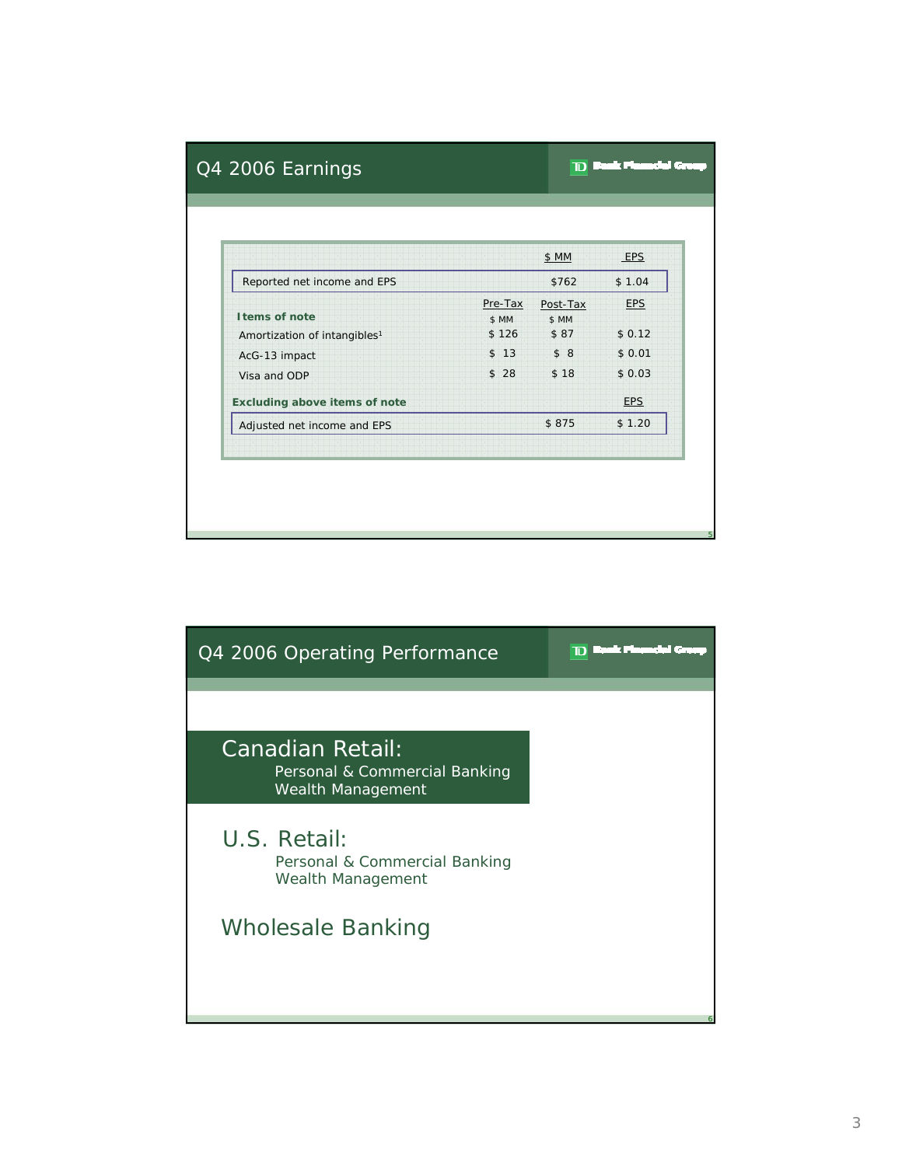|                                                            |                           | \$ MM                     | EPS                  |
|------------------------------------------------------------|---------------------------|---------------------------|----------------------|
| Reported net income and EPS                                |                           | \$762                     | \$1.04               |
| I tems of note<br>Amortization of intangibles <sup>1</sup> | Pre-Tax<br>\$ MM<br>\$126 | Post-Tax<br>\$ MM<br>\$87 | <b>EPS</b><br>\$0.12 |
| AcG-13 impact                                              | \$13                      | \$8                       | \$0.01               |
| Visa and ODP                                               | \$28                      | \$18                      | \$0.03               |
| <b>Excluding above items of note</b>                       |                           |                           | <b>EPS</b>           |
| Adjusted net income and EPS                                |                           | \$875                     | \$1.20               |

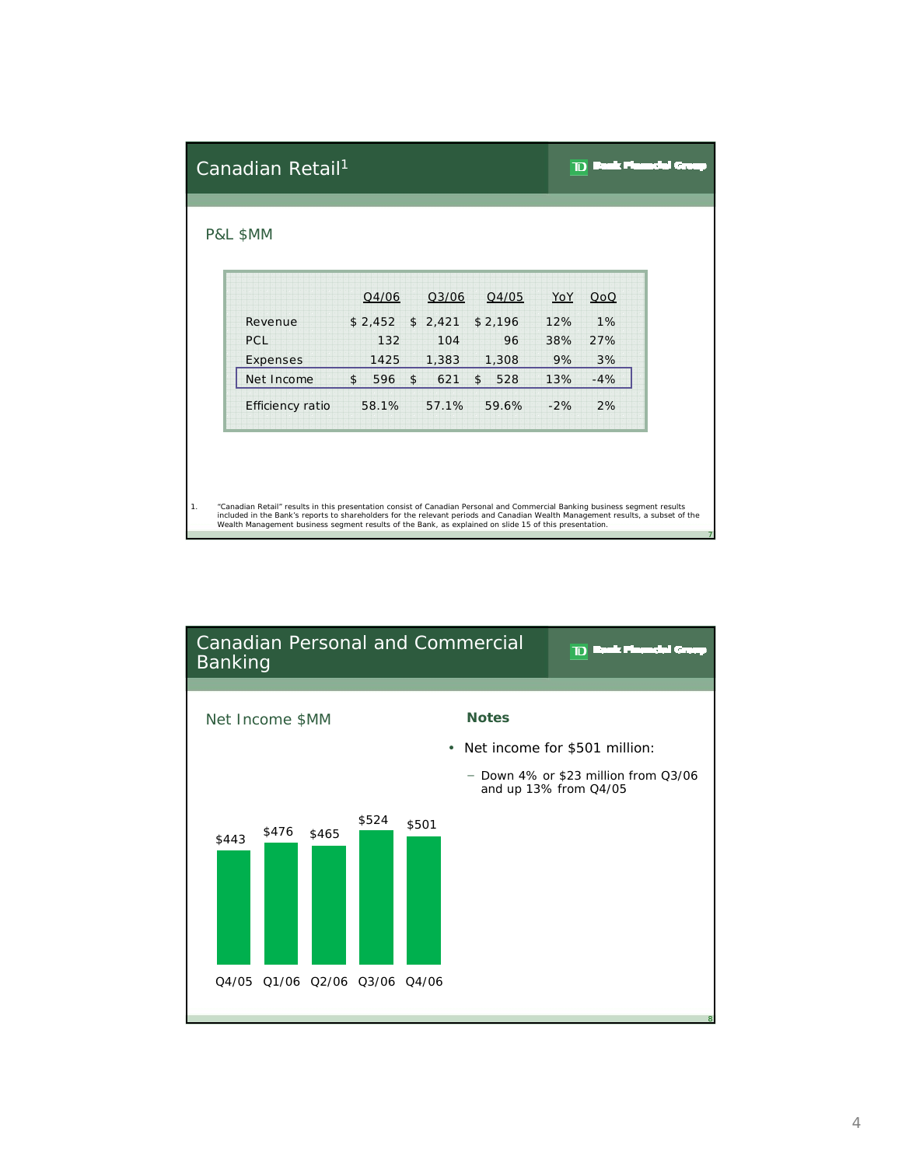| Canadian Retail <sup>1</sup>                                                                                                                                                                                                                                                                                                                                             |                      |           |                       |       |       |
|--------------------------------------------------------------------------------------------------------------------------------------------------------------------------------------------------------------------------------------------------------------------------------------------------------------------------------------------------------------------------|----------------------|-----------|-----------------------|-------|-------|
| P&L \$MM                                                                                                                                                                                                                                                                                                                                                                 |                      |           |                       |       |       |
|                                                                                                                                                                                                                                                                                                                                                                          |                      |           |                       |       |       |
|                                                                                                                                                                                                                                                                                                                                                                          | Q4/06                | Q3/06     | Q4/05                 | YoY   | QoQ   |
| Revenue                                                                                                                                                                                                                                                                                                                                                                  | \$2,452              | \$2,421   | \$2,196               | 12%   | 1%    |
| PCL                                                                                                                                                                                                                                                                                                                                                                      | 132                  | 104       | 96                    | 38%   | 27%   |
| Expenses                                                                                                                                                                                                                                                                                                                                                                 | 1425                 | 1,383     | 1,308                 | 9%    | 3%    |
| Net Income                                                                                                                                                                                                                                                                                                                                                               | $\mathsf{\$}$<br>596 | \$<br>621 | 528<br>$\mathfrak{L}$ | 13%   | $-4%$ |
| Efficiency ratio                                                                                                                                                                                                                                                                                                                                                         | 58.1%                | 57.1%     | 59.6%                 | $-2%$ | 2%    |
|                                                                                                                                                                                                                                                                                                                                                                          |                      |           |                       |       |       |
|                                                                                                                                                                                                                                                                                                                                                                          |                      |           |                       |       |       |
|                                                                                                                                                                                                                                                                                                                                                                          |                      |           |                       |       |       |
|                                                                                                                                                                                                                                                                                                                                                                          |                      |           |                       |       |       |
| "Canadian Retail" results in this presentation consist of Canadian Personal and Commercial Banking business segment results<br>included in the Bank's reports to shareholders for the relevant periods and Canadian Wealth Management results, a subset of the<br>Wealth Management business segment results of the Bank, as explained on slide 15 of this presentation. |                      |           |                       |       |       |

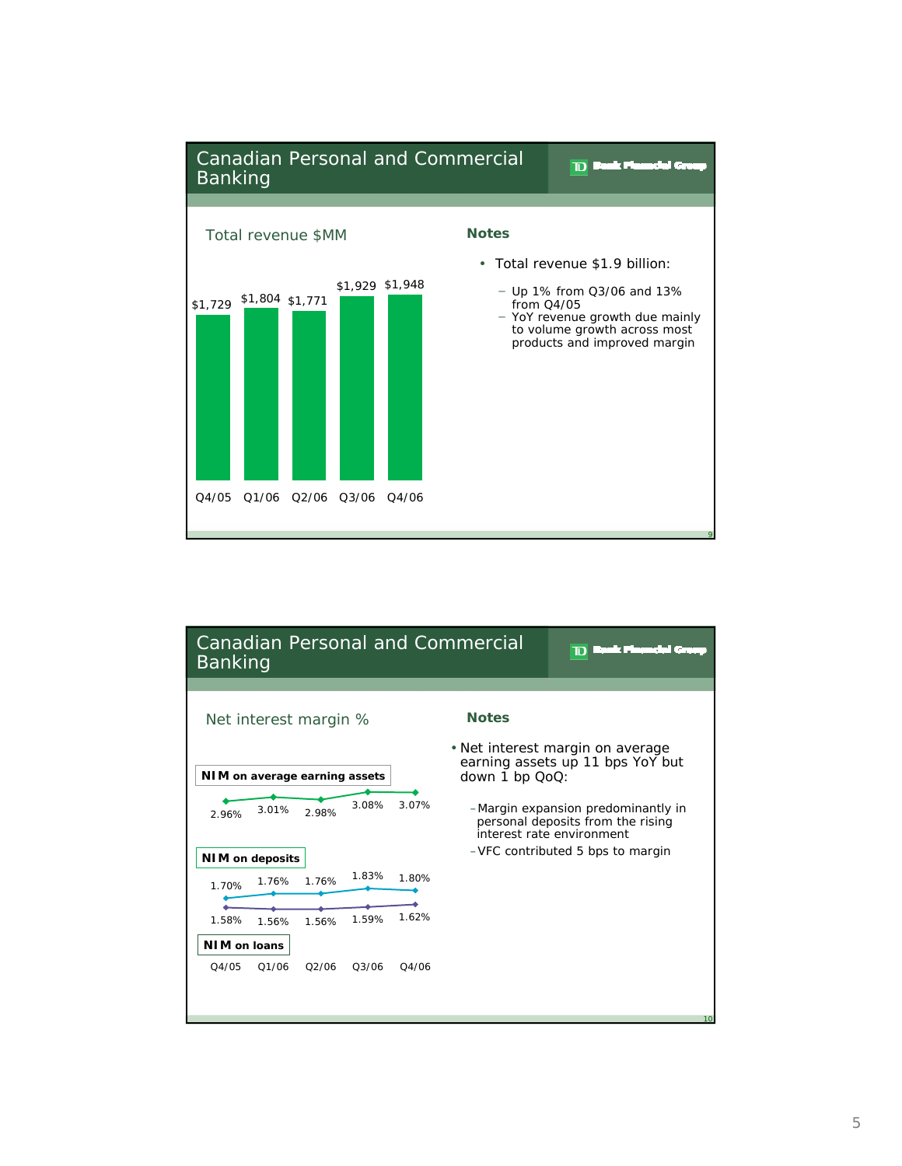

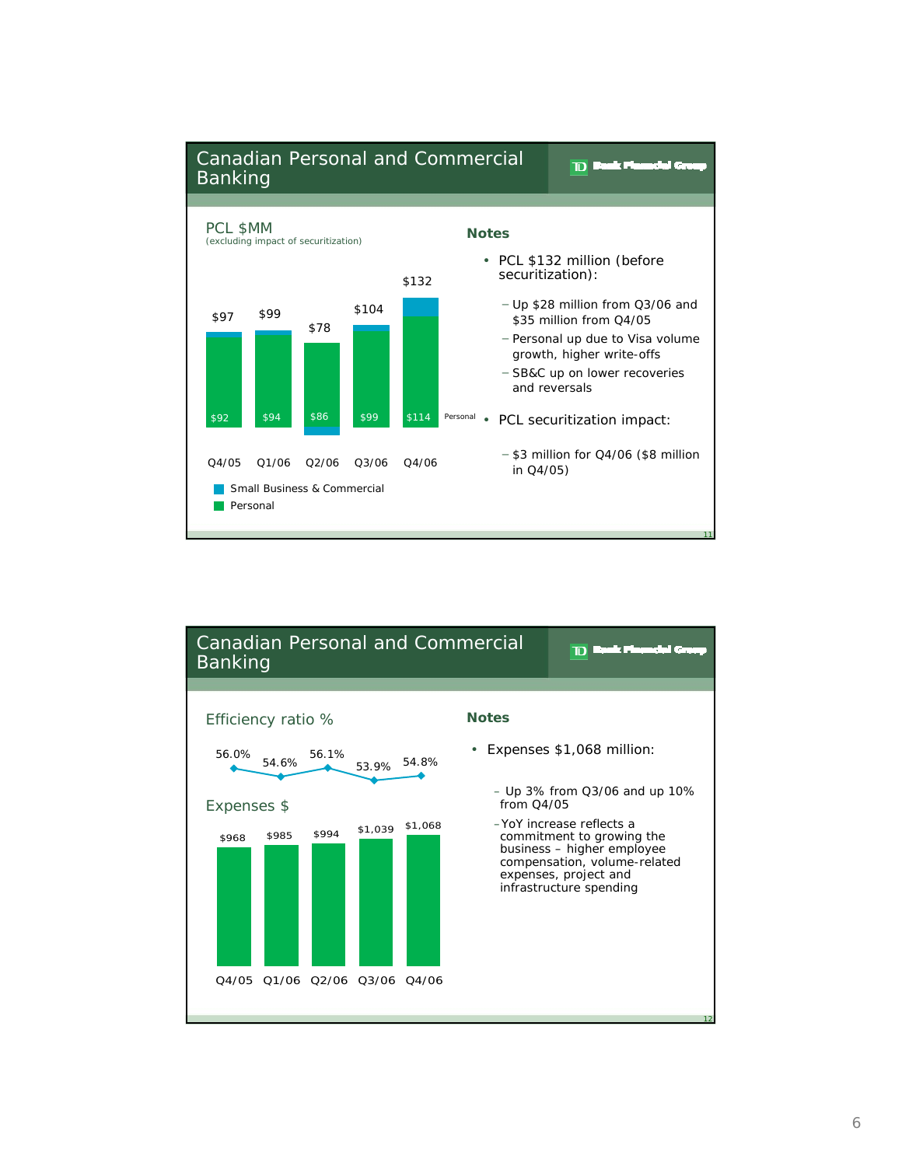

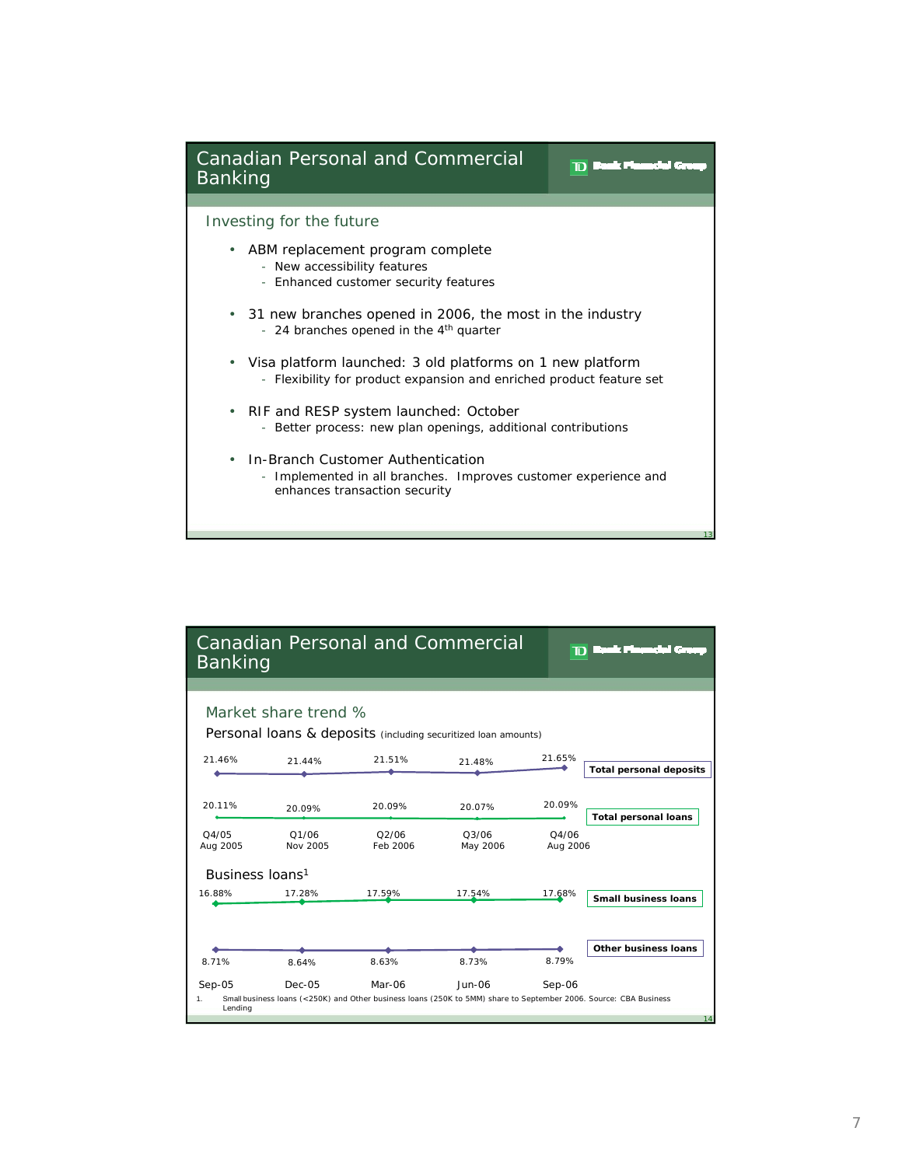

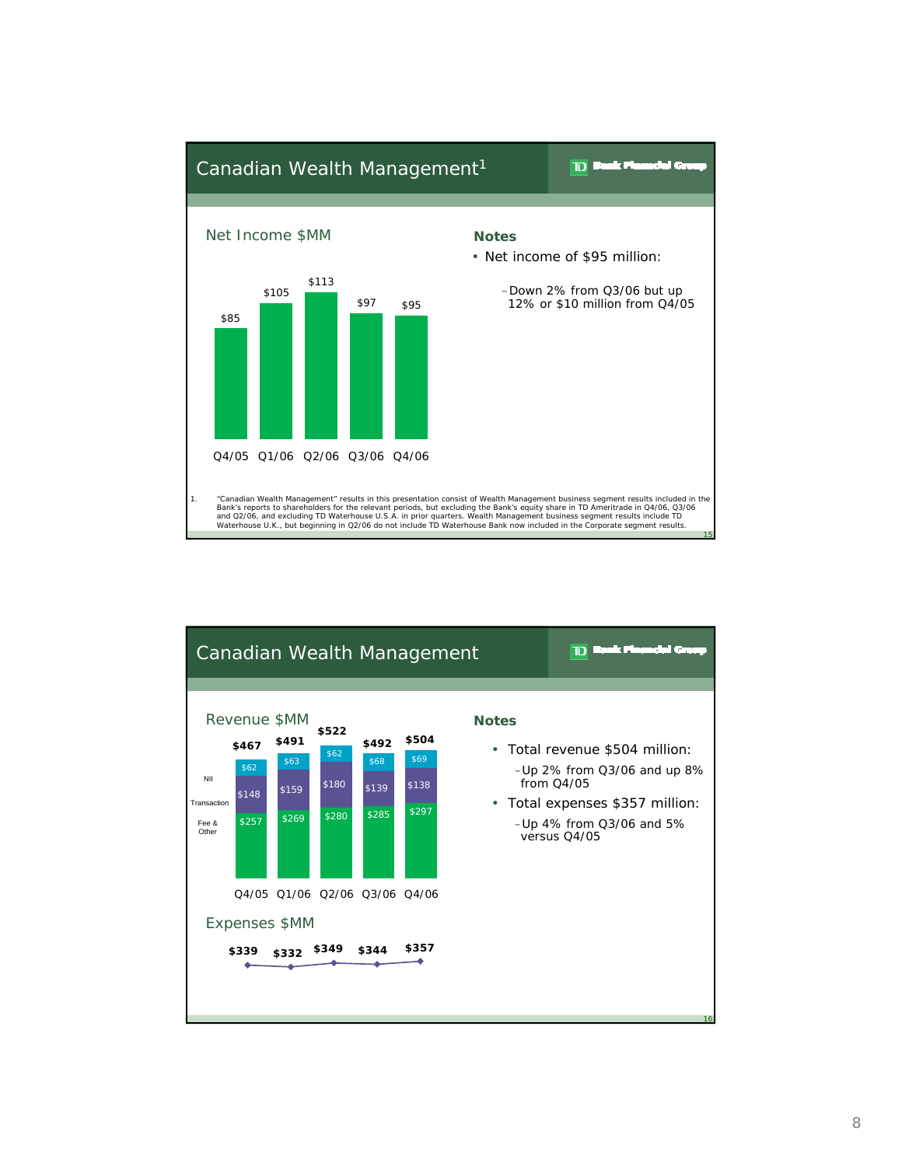

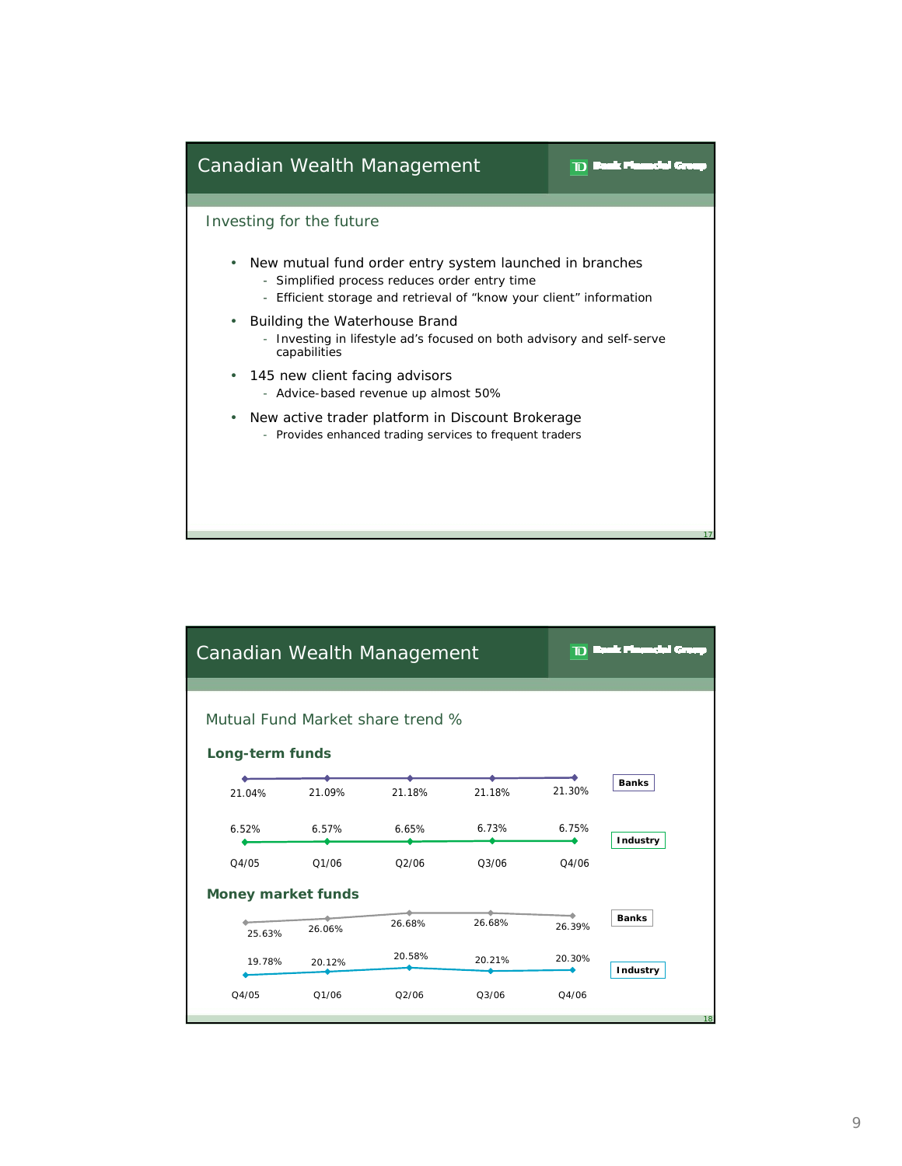

|                                                     | Canadian Wealth Management |        | $\mathbf{D}$ Bask Financial Gro |        |        |                 |  |  |  |  |  |
|-----------------------------------------------------|----------------------------|--------|---------------------------------|--------|--------|-----------------|--|--|--|--|--|
| Mutual Fund Market share trend %<br>Long-term funds |                            |        |                                 |        |        |                 |  |  |  |  |  |
|                                                     | 21 04%                     | 21.09% | 21.18%                          | 21.18% | 21.30% | <b>Banks</b>    |  |  |  |  |  |
|                                                     | 6.52%                      | 6.57%  | 6.65%                           | 6.73%  | 6.75%  | <b>Industry</b> |  |  |  |  |  |
|                                                     | Q4/05                      | 01/06  | O2/06                           | 03/06  | 04/06  |                 |  |  |  |  |  |
| <b>Money market funds</b>                           |                            |        |                                 |        |        |                 |  |  |  |  |  |
|                                                     | 25.63%                     | 26.06% | 26.68%                          | 26.68% | 26.39% | <b>Banks</b>    |  |  |  |  |  |
|                                                     | 19.78%                     | 20.12% | 20.58%                          | 20.21% | 20.30% | Industry        |  |  |  |  |  |
|                                                     | Q4/05                      | Q1/06  | Q2/06                           | Q3/06  | Q4/06  | 18              |  |  |  |  |  |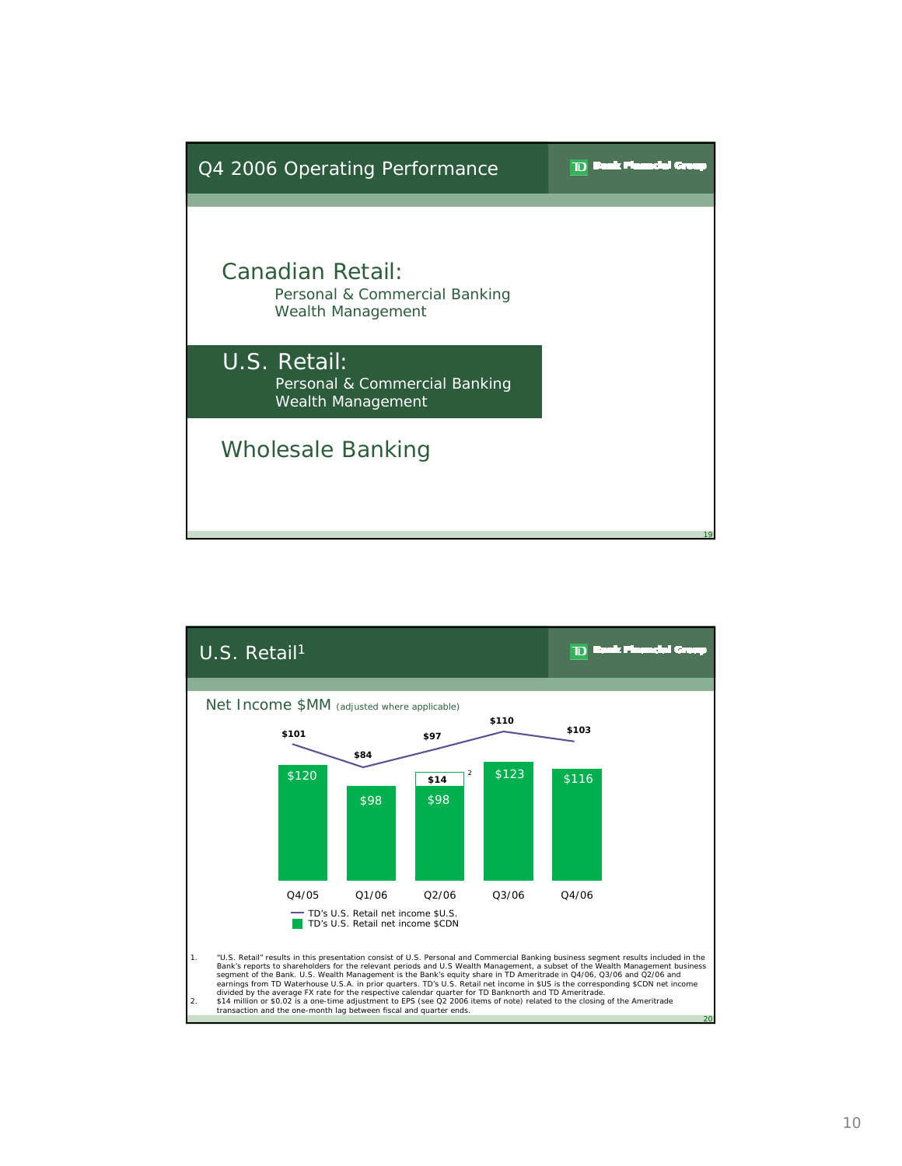

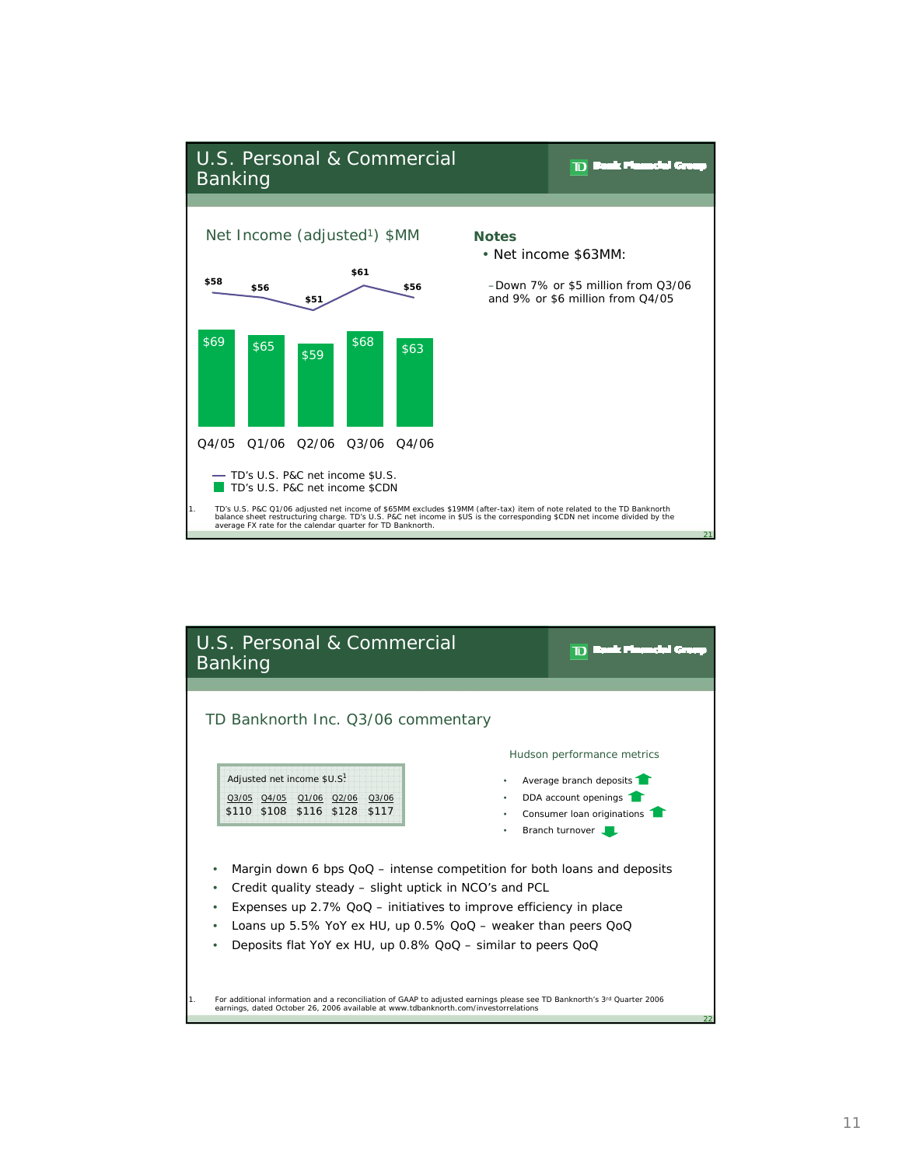

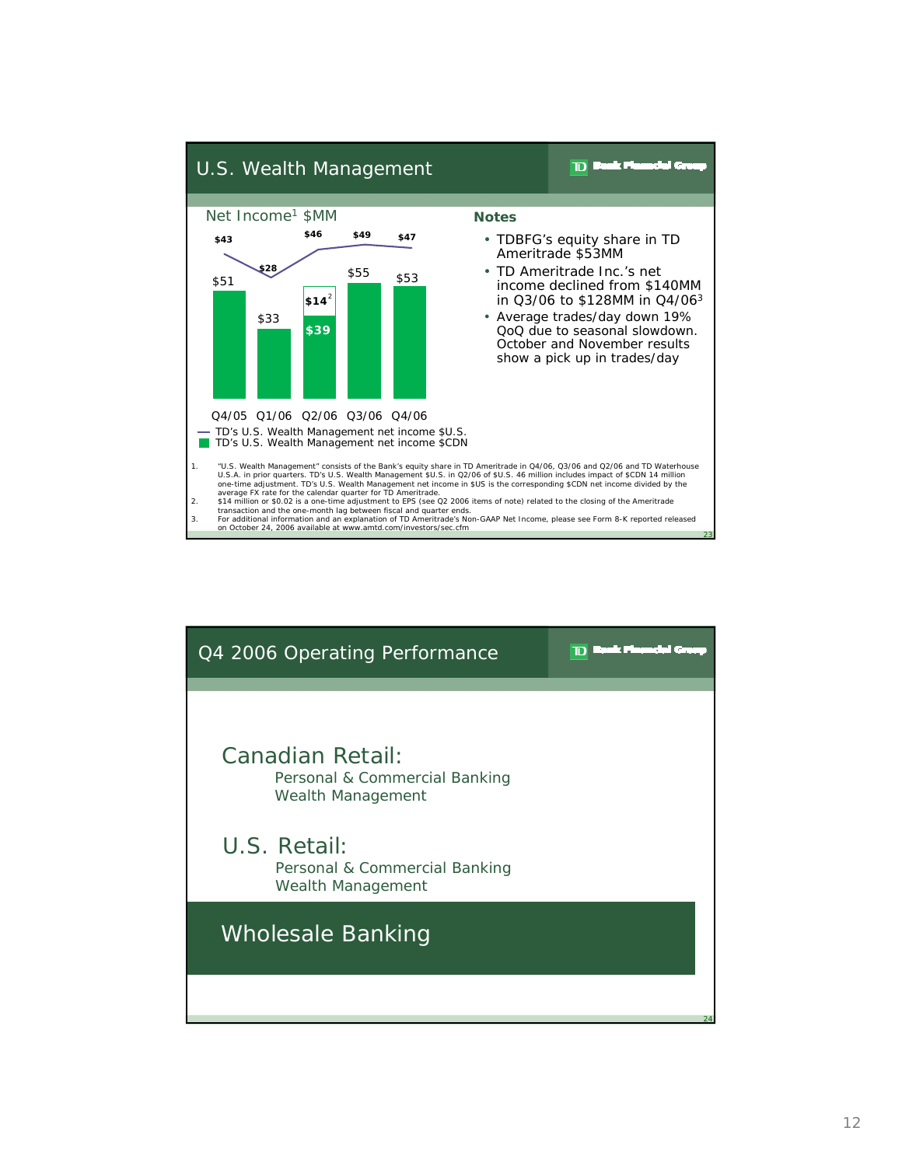

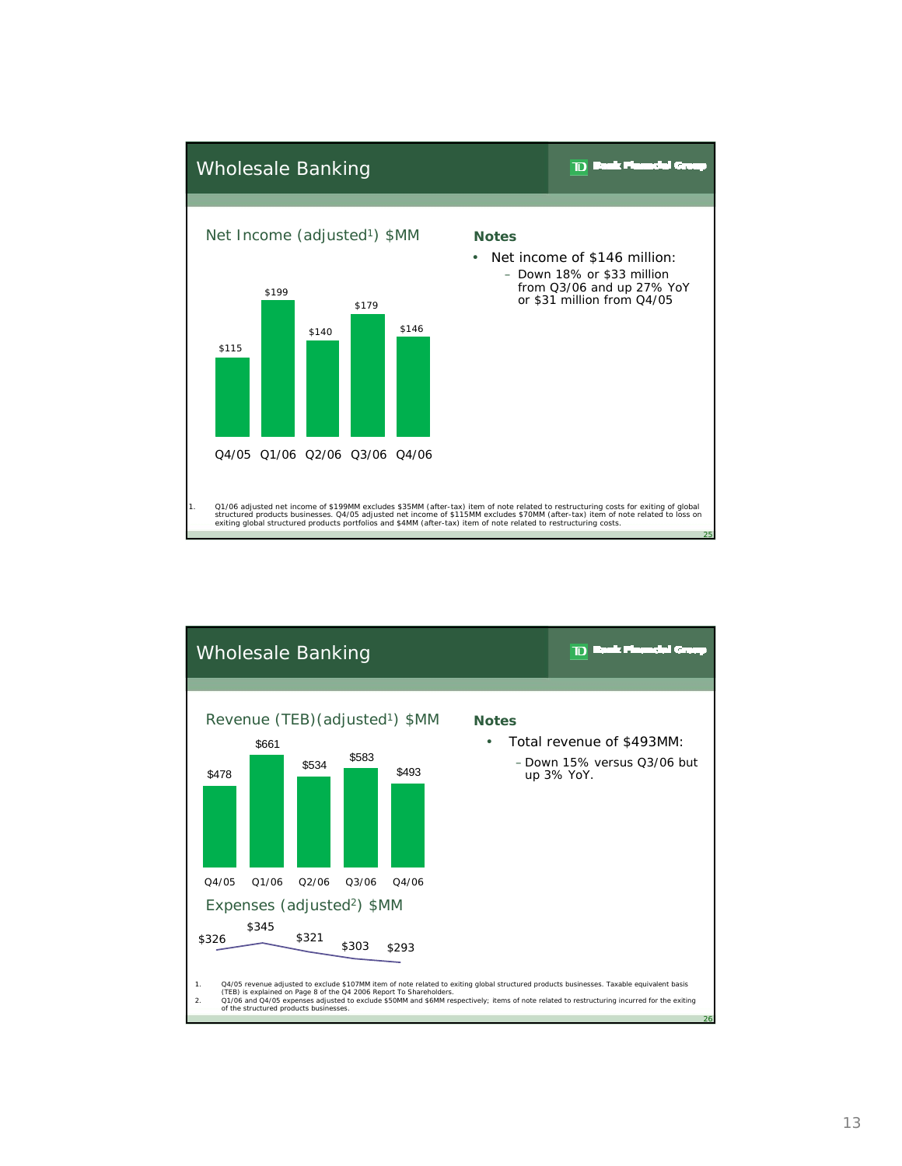